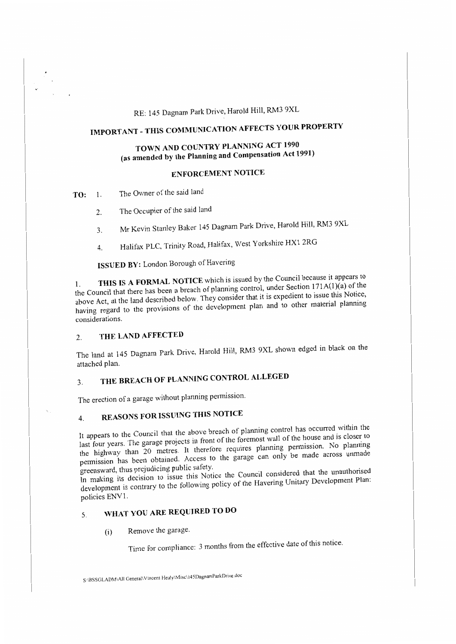## RE: 145 Dagnam Park Drive, Harold Hill, RM3 9XL

# **IMPORTANT -THIS COMMUNICATION AFFECTS YOUR PROPERTY**

## **TOWN AND COUNTRY PLANNING ACT 1990 (as amended by the Planning and Compensation Act 1991)**

### **ENFORCEMENT NOTICE**

**TO:** 1. The Owner of the said land

- 2. The Occupier of the said land
- 3. Mr Kevin Stanley Baker 145 Dagnam Park Drive, Harold Hill, RM3 9XL
- 4. Halifax PLC, Trinity Road, Halifax, West Yorkshire HXl 2RG

**ISSUED BY:** London Borough of Havering

THIS IS A FORMAL NOTICE which is issued by the Council because it appears to the Council that there has been a breach of planning control, under Section  $171A(1)(a)$  of the above Act, at the land described below. They consider that it is expedient to issue this Notice, having regard to the provisions of the development plan and to other material planning considerations.

#### 2. **THE LAND AFFECTED**

The land at 145 Dagnam Park Drive, Harold Hill, RM3 9XL shown edged in black on the attached plan.

## 3. THE BREACH OF PLANNING CONTROL ALLEGED

The erection of a garage without planning permission.

## 4. **REASONS FOR ISSUING THIS NOTICE**

It appears to the Council that the above breach of planning control has occurred within the last four years. The garage projects in front of the foremost wall of the house and is closer to the highway than 20 metres. It therefore requires planning permission. No planning permission has been obtained. Access to the garage can only be made across unmade greensward, thus prejudicing public safety.

In making its decision to issue this Notice the Council considered that the unauthorised development is contrary to the following policy of the Havering Unitary Development Plan: policies ENVl.

## 5. **WHAT YOU ARE REQUIRED TO DO**

(i) Remove the garage.

Time for compliance: 3 months from the effective date of this notice.

S:\BSSGLADM\All Generali Vincent Healy\Misc\145DagnamParkDrive doc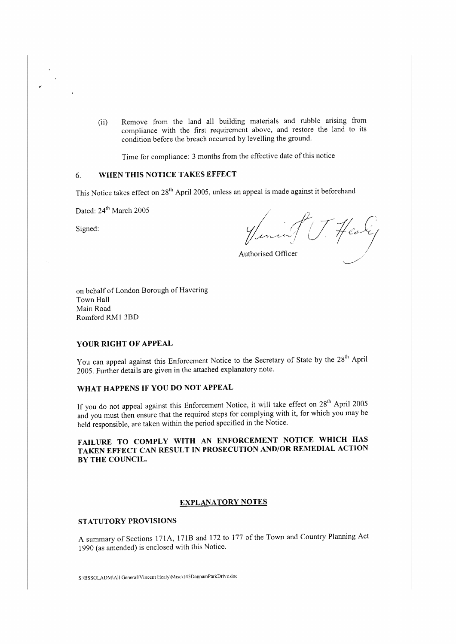(ii) Remove from the land all building materials and rubble arising from compliance with the first requirement above, and restore the land to its condition before the breach occurred by levelling the ground.

Time for compliance: 3 months from the effective date of this notice

### 6. **WHEN THIS NOTICE TAKES EFFECT**

This Notice takes effect on 28<sup>th</sup> April 2005, unless an appeal is made against it beforehand

Dated:  $24<sup>th</sup>$  March 2005

Signed:

T. Healy

Authorised Officer

on behalf of London Borough of Havering Town Hall Main Road Romford RM1 3BD

#### **YOUR RIGHT OF APPEAL**

You can appeal against this Enforcement Notice to the Secretary of State by the 28" April 2005. Further details are given in the attached explanatory note.

### **WHAT HAPPENS IF YOU DO NOT APPEAL**

If you do not appeal against this Enforcement Notice, it will take effect on 28" April 2005 and you must then ensure that the required steps for complying with it, for which you may be held responsible, are taken within the period specified in the Notice.

#### **FAILURE TO COMPLY WITH AN ENFORCEMENT NOTICE WHICH HAS TAKEN EFFECT CAN RESULT IN PROSECUTION AND/OR REMEDIAL ACTION**  *BY* **THE COUNCIL.**

#### **EXPLANATORY NOTES**

#### **STATUTORY PROVISIONS**

A summary of Sections 171A, 171B and 172 to 177 of the Town and Country Planning Act 1990 (as amended) is enclosed with this Notice.

S•IBSSGLADM\AII General\Vincent Healy\Misc\l4SDagnamParkDrive.doc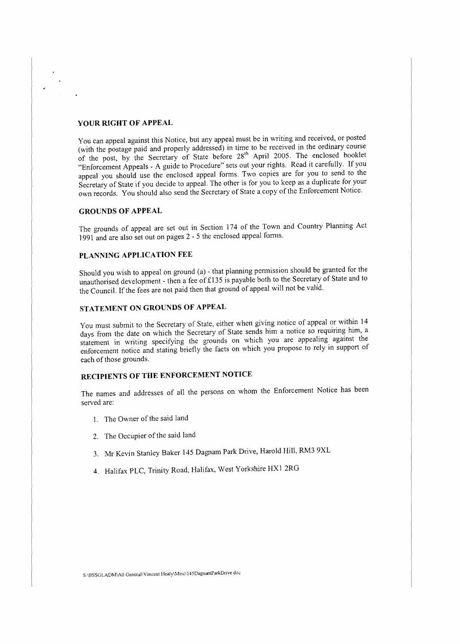#### **YOUR RIGHT OF APPEAL**

You can appeal against this Notice, but any appeal must be in writing and received, or posted (with the postage paid and properly addressed) in time to be received in the ordinary course (with the postage part and property addressed) in this to be received in the creating country "Enforcement Appeals - A guide to Procedure" sets out your rights. Read it carefully. If you appeal you should use the enclosed appeal forms. Two copies are for you to send to the Secretary of State if you decide to appeal. The other is for you to keep as a duplicate for your own records. You should also send the Secretary of State a copy of the Enforcement Notice.

#### **GROUNDS OF APPEAL**

The grounds of appeal are set out in Section 174 of the Town and Country Planning Act 1991 and are also set out on pages 2 - 5 the enclosed appeal forms.

### **PLANNING APPLICATION FEE**

Should you wish to appeal on ground (a) - that planning permission should be granted for the unauthorised development - then a fee of £135 is payable both to the Secretary of State and to the Council. If the fees are not paid then that ground of appeal will not be valid.

#### **STATEMENT ON GROUNDS OF APPEAL**

You must submit to the Secretary of State, either when giving notice of appeal or within 14 days from the date on which the Secretary of State sends him a notice so requiring him, a statement in writing specifying the grounds on which you are appealing against the enforcement notice and stating briefly the facts on which you propose to rely in support of each of those grounds.

### **RECIPIENTS OF THE ENFORCEMENT NOTICE**

The names and addresses of all the persons on whom the Enforcement Notice has been served are:

- 1. The Owner of the said land
- 2. The Occupier of the said land
- 3. Mr Kevin Stanley Baker 145 Dagnam Park Drive, Harold Hill, RM3 9XL
- 4. Halifax PLC, Trinity Road, Halifax, West Yorkshire HXl 2RG